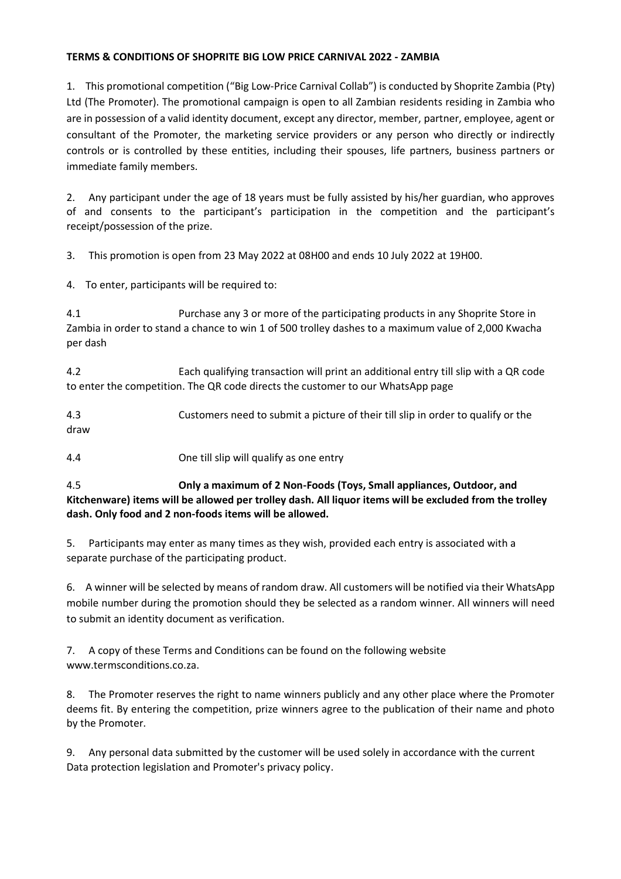## **TERMS & CONDITIONS OF SHOPRITE BIG LOW PRICE CARNIVAL 2022 - ZAMBIA**

1. This promotional competition ("Big Low-Price Carnival Collab") is conducted by Shoprite Zambia (Pty) Ltd (The Promoter). The promotional campaign is open to all Zambian residents residing in Zambia who are in possession of a valid identity document, except any director, member, partner, employee, agent or consultant of the Promoter, the marketing service providers or any person who directly or indirectly controls or is controlled by these entities, including their spouses, life partners, business partners or immediate family members.

2. Any participant under the age of 18 years must be fully assisted by his/her guardian, who approves of and consents to the participant's participation in the competition and the participant's receipt/possession of the prize.

3. This promotion is open from 23 May 2022 at 08H00 and ends 10 July 2022 at 19H00.

4. To enter, participants will be required to:

4.1 Purchase any 3 or more of the participating products in any Shoprite Store in Zambia in order to stand a chance to win 1 of 500 trolley dashes to a maximum value of 2,000 Kwacha per dash

4.2 Each qualifying transaction will print an additional entry till slip with a QR code to enter the competition. The QR code directs the customer to our WhatsApp page

4.3 Customers need to submit a picture of their till slip in order to qualify or the draw

4.4 One till slip will qualify as one entry

4.5 **Only a maximum of 2 Non-Foods (Toys, Small appliances, Outdoor, and Kitchenware) items will be allowed per trolley dash. All liquor items will be excluded from the trolley dash. Only food and 2 non-foods items will be allowed.** 

5. Participants may enter as many times as they wish, provided each entry is associated with a separate purchase of the participating product.

6. A winner will be selected by means of random draw. All customers will be notified via their WhatsApp mobile number during the promotion should they be selected as a random winner. All winners will need to submit an identity document as verification.

7. A copy of these Terms and Conditions can be found on the following website www.termsconditions.co.za.

8. The Promoter reserves the right to name winners publicly and any other place where the Promoter deems fit. By entering the competition, prize winners agree to the publication of their name and photo by the Promoter.

9. Any personal data submitted by the customer will be used solely in accordance with the current Data protection legislation and Promoter's privacy policy.